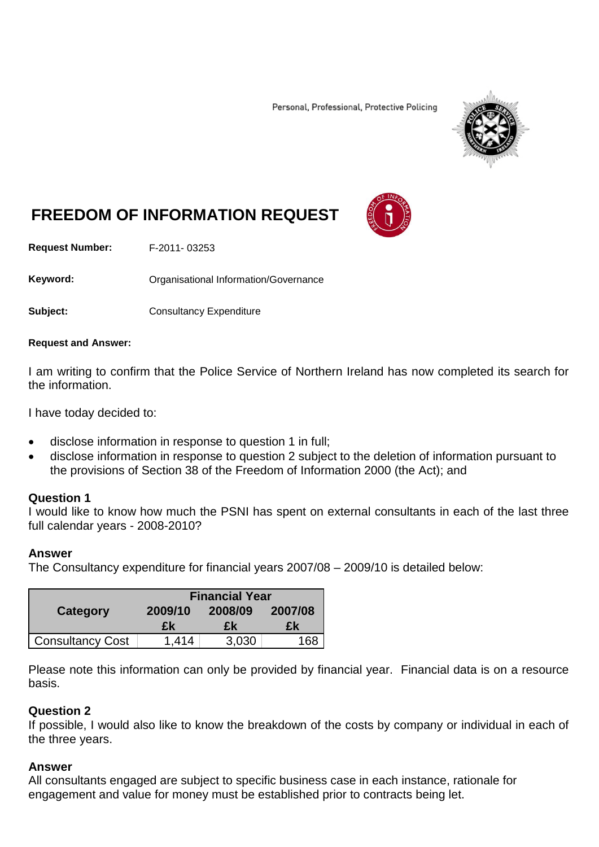Personal, Professional, Protective Policing



# **FREEDOM OF INFORMATION REQUEST**

**Request Number:** F-2011- 03253

Keyword: **Communistry Communisties** Organisational Information/Governance

**Subject:** Consultancy Expenditure

#### **Request and Answer:**

I am writing to confirm that the Police Service of Northern Ireland has now completed its search for the information.

I have today decided to:

- disclose information in response to question 1 in full;
- disclose information in response to question 2 subject to the deletion of information pursuant to the provisions of Section 38 of the Freedom of Information 2000 (the Act); and

### **Question 1**

I would like to know how much the PSNI has spent on external consultants in each of the last three full calendar years - 2008-2010?

### **Answer**

The Consultancy expenditure for financial years 2007/08 – 2009/10 is detailed below:

|                         | <b>Financial Year</b> |         |         |
|-------------------------|-----------------------|---------|---------|
| Category                | 2009/10               | 2008/09 | 2007/08 |
|                         | £k                    | £k      | £k      |
| <b>Consultancy Cost</b> | 1,414                 | 3,030   | 168     |

Please note this information can only be provided by financial year. Financial data is on a resource basis.

### **Question 2**

If possible, I would also like to know the breakdown of the costs by company or individual in each of the three years.

## **Answer**

All consultants engaged are subject to specific business case in each instance, rationale for engagement and value for money must be established prior to contracts being let.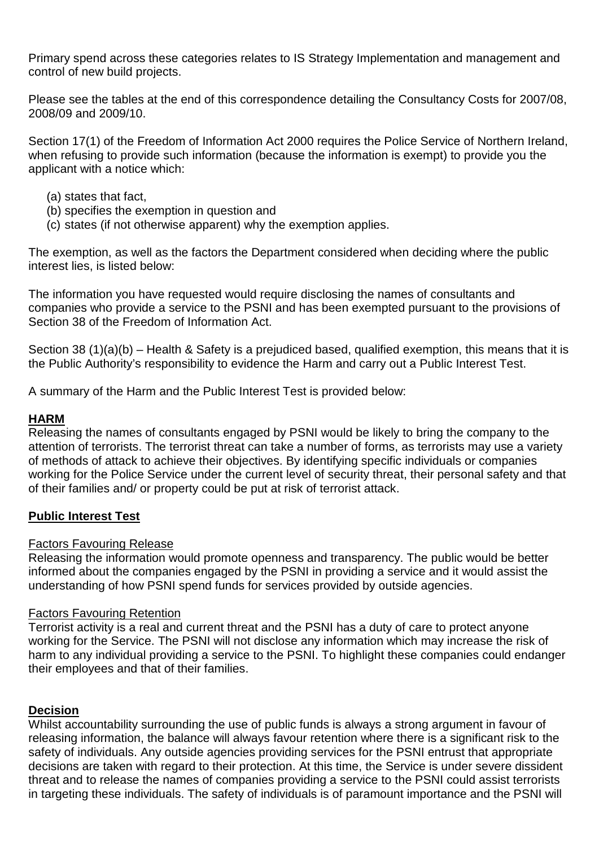Primary spend across these categories relates to IS Strategy Implementation and management and control of new build projects.

Please see the tables at the end of this correspondence detailing the Consultancy Costs for 2007/08, 2008/09 and 2009/10.

Section 17(1) of the Freedom of Information Act 2000 requires the Police Service of Northern Ireland, when refusing to provide such information (because the information is exempt) to provide you the applicant with a notice which:

- (a) states that fact,
- (b) specifies the exemption in question and
- (c) states (if not otherwise apparent) why the exemption applies.

The exemption, as well as the factors the Department considered when deciding where the public interest lies, is listed below:

The information you have requested would require disclosing the names of consultants and companies who provide a service to the PSNI and has been exempted pursuant to the provisions of Section 38 of the Freedom of Information Act.

Section 38 (1)(a)(b) – Health & Safety is a prejudiced based, qualified exemption, this means that it is the Public Authority's responsibility to evidence the Harm and carry out a Public Interest Test.

A summary of the Harm and the Public Interest Test is provided below:

# **HARM**

Releasing the names of consultants engaged by PSNI would be likely to bring the company to the attention of terrorists. The terrorist threat can take a number of forms, as terrorists may use a variety of methods of attack to achieve their objectives. By identifying specific individuals or companies working for the Police Service under the current level of security threat, their personal safety and that of their families and/ or property could be put at risk of terrorist attack.

# **Public Interest Test**

## Factors Favouring Release

Releasing the information would promote openness and transparency. The public would be better informed about the companies engaged by the PSNI in providing a service and it would assist the understanding of how PSNI spend funds for services provided by outside agencies.

## Factors Favouring Retention

Terrorist activity is a real and current threat and the PSNI has a duty of care to protect anyone working for the Service. The PSNI will not disclose any information which may increase the risk of harm to any individual providing a service to the PSNI. To highlight these companies could endanger their employees and that of their families.

# **Decision**

Whilst accountability surrounding the use of public funds is always a strong argument in favour of releasing information, the balance will always favour retention where there is a significant risk to the safety of individuals. Any outside agencies providing services for the PSNI entrust that appropriate decisions are taken with regard to their protection. At this time, the Service is under severe dissident threat and to release the names of companies providing a service to the PSNI could assist terrorists in targeting these individuals. The safety of individuals is of paramount importance and the PSNI will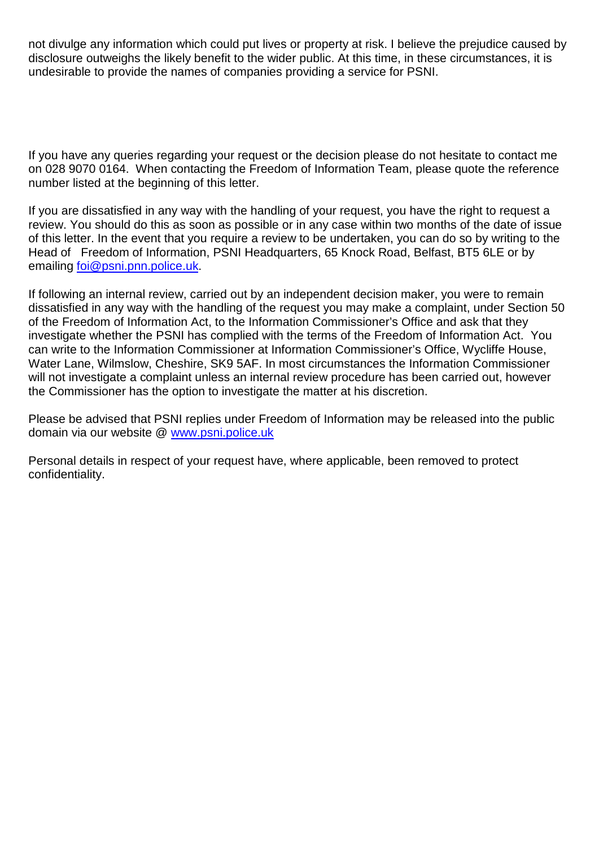not divulge any information which could put lives or property at risk. I believe the prejudice caused by disclosure outweighs the likely benefit to the wider public. At this time, in these circumstances, it is undesirable to provide the names of companies providing a service for PSNI.

If you have any queries regarding your request or the decision please do not hesitate to contact me on 028 9070 0164. When contacting the Freedom of Information Team, please quote the reference number listed at the beginning of this letter.

If you are dissatisfied in any way with the handling of your request, you have the right to request a review. You should do this as soon as possible or in any case within two months of the date of issue of this letter. In the event that you require a review to be undertaken, you can do so by writing to the Head of Freedom of Information, PSNI Headquarters, 65 Knock Road, Belfast, BT5 6LE or by emailing [foi@psni.pnn.police.uk.](mailto:foi@psni.pnn.police.uk)

If following an internal review, carried out by an independent decision maker, you were to remain dissatisfied in any way with the handling of the request you may make a complaint, under Section 50 of the Freedom of Information Act, to the Information Commissioner's Office and ask that they investigate whether the PSNI has complied with the terms of the Freedom of Information Act. You can write to the Information Commissioner at Information Commissioner's Office, Wycliffe House, Water Lane, Wilmslow, Cheshire, SK9 5AF. In most circumstances the Information Commissioner will not investigate a complaint unless an internal review procedure has been carried out, however the Commissioner has the option to investigate the matter at his discretion.

Please be advised that PSNI replies under Freedom of Information may be released into the public domain via our website @ [www.psni.police.uk](http://www.psni.police.uk/)

Personal details in respect of your request have, where applicable, been removed to protect confidentiality.